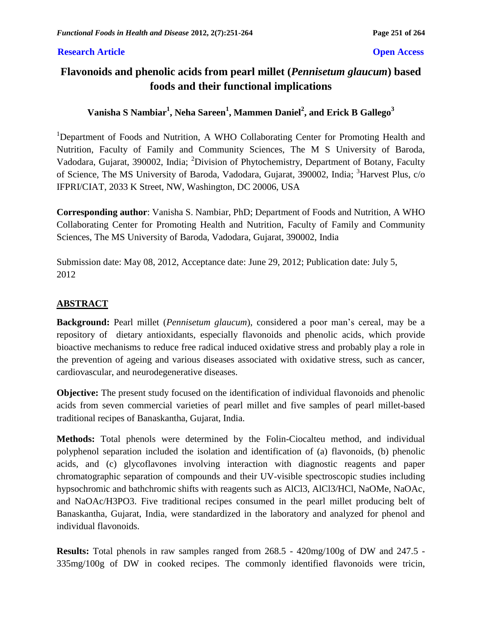### **Research Article Open Access**

# **Flavonoids and phenolic acids from pearl millet (***Pennisetum glaucum***) based foods and their functional implications**

**Vanisha S Nambiar<sup>1</sup> , Neha Sareen<sup>1</sup> , Mammen Daniel<sup>2</sup> , and Erick B Gallego<sup>3</sup>**

<sup>1</sup>Department of Foods and Nutrition, A WHO Collaborating Center for Promoting Health and Nutrition, Faculty of Family and Community Sciences, The M S University of Baroda, Vadodara, Gujarat, 390002, India; <sup>2</sup>Division of Phytochemistry, Department of Botany, Faculty of Science, The MS University of Baroda, Vadodara, Gujarat, 390002, India; <sup>3</sup>Harvest Plus, c/o IFPRI/CIAT, 2033 K Street, NW, Washington, DC 20006, USA

**Corresponding author**: Vanisha S. Nambiar, PhD; Department of Foods and Nutrition, A WHO Collaborating Center for Promoting Health and Nutrition, Faculty of Family and Community Sciences, The MS University of Baroda, Vadodara, Gujarat, 390002, India

Submission date: May 08, 2012, Acceptance date: June 29, 2012; Publication date: July 5, 2012

# **ABSTRACT**

**Background:** Pearl millet (*Pennisetum glaucum*), considered a poor man's cereal, may be a repository of dietary antioxidants, especially flavonoids and phenolic acids, which provide bioactive mechanisms to reduce free radical induced oxidative stress and probably play a role in the prevention of ageing and various diseases associated with oxidative stress, such as cancer, cardiovascular, and neurodegenerative diseases.

**Objective:** The present study focused on the identification of individual flavonoids and phenolic acids from seven commercial varieties of pearl millet and five samples of pearl millet-based traditional recipes of Banaskantha, Gujarat, India.

**Methods:** Total phenols were determined by the Folin-Ciocalteu method, and individual polyphenol separation included the isolation and identification of (a) flavonoids, (b) phenolic acids, and (c) glycoflavones involving interaction with diagnostic reagents and paper chromatographic separation of compounds and their UV-visible spectroscopic studies including hypsochromic and bathchromic shifts with reagents such as AlCl3, AlCl3/HCl, NaOMe, NaOAc, and NaOAc/H3PO3. Five traditional recipes consumed in the pearl millet producing belt of Banaskantha, Gujarat, India, were standardized in the laboratory and analyzed for phenol and individual flavonoids.

**Results:** Total phenols in raw samples ranged from 268.5 - 420mg/100g of DW and 247.5 - 335mg/100g of DW in cooked recipes. The commonly identified flavonoids were tricin,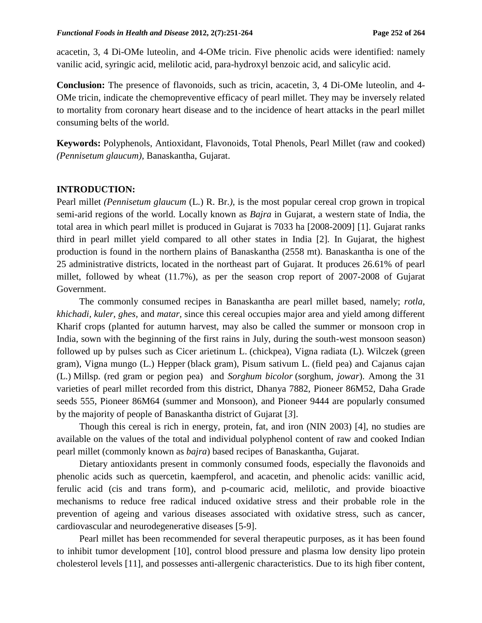acacetin, 3, 4 Di-OMe luteolin, and 4-OMe tricin. Five phenolic acids were identified: namely vanilic acid, syringic acid, melilotic acid, para-hydroxyl benzoic acid, and salicylic acid.

**Conclusion:** The presence of flavonoids, such as tricin, acacetin, 3, 4 Di-OMe luteolin, and 4- OMe tricin, indicate the chemopreventive efficacy of pearl millet. They may be inversely related to mortality from coronary heart disease and to the incidence of heart attacks in the pearl millet consuming belts of the world.

**Keywords:** Polyphenols, Antioxidant, Flavonoids, Total Phenols, Pearl Millet (raw and cooked) *(Pennisetum glaucum),* Banaskantha, Gujarat.

#### **INTRODUCTION:**

Pearl millet *(Pennisetum glaucum* (L.) R. Br.*),* is the most popular cereal crop grown in tropical semi-arid regions of the world. Locally known as *Bajra* in Gujarat, a western state of India, the total area in which pearl millet is produced in Gujarat is 7033 ha [2008-2009] [1]. Gujarat ranks third in pearl millet yield compared to all other states in India [2]*.* In Gujarat*,* the highest production is found in the northern plains of Banaskantha (2558 mt). Banaskantha is one of the 25 administrative districts, located in the northeast part of Gujarat. It produces 26.61% of pearl millet, followed by wheat (11.7%), as per the season crop report of 2007-2008 of Gujarat Government.

The commonly consumed recipes in Banaskantha are pearl millet based, namely; *rotla, khichadi, kuler, ghes,* and *matar,* since this cereal occupies major area and yield among different Kharif crops (planted for [autumn](http://en.wikipedia.org/wiki/Autumn) [harvest,](http://en.wikipedia.org/wiki/Harvest) may also be called the [summer](http://en.wikipedia.org/wiki/Summer) or monsoon crop in [India,](http://en.wikipedia.org/wiki/India) sown with the beginning of the first rains in July, during the south-west monsoon season) followed up by pulses such as Cicer arietinum L. (chickpea), Vigna radiata (L). Wilczek (green gram), Vigna mungo (L.) Hepper (black gram), Pisum sativum L. (field pea) and Cajanus cajan (L.) Millsp. (red gram or pegion pea) and *Sorghum bicolor* (sorghum, *jowar*). Among the 31 varieties of pearl millet recorded from this district, Dhanya 7882, Pioneer 86M52, Daha Grade seeds 555, Pioneer 86M64 (summer and Monsoon), and Pioneer 9444 are popularly consumed by the majority of people of Banaskantha district of Gujarat [*3*].

Though this cereal is rich in energy, protein, fat, and iron (NIN 2003) [4], no studies are available on the values of the total and individual polyphenol content of raw and cooked Indian pearl millet (commonly known as *bajra*) based recipes of Banaskantha, Gujarat.

Dietary antioxidants present in commonly consumed foods, especially the flavonoids and phenolic acids such as quercetin, kaempferol, and acacetin, and phenolic acids: vanillic acid, ferulic acid (cis and trans form), and p-coumaric acid, melilotic, and provide bioactive mechanisms to reduce free radical induced oxidative stress and their probable role in the prevention of ageing and various diseases associated with oxidative stress, such as cancer, cardiovascular and neurodegenerative diseases [5-9].

Pearl millet has been recommended for several therapeutic purposes, as it has been found to inhibit tumor development [10], control blood pressure and plasma low density lipo protein cholesterol levels [11], and possesses anti-allergenic characteristics. Due to its high fiber content,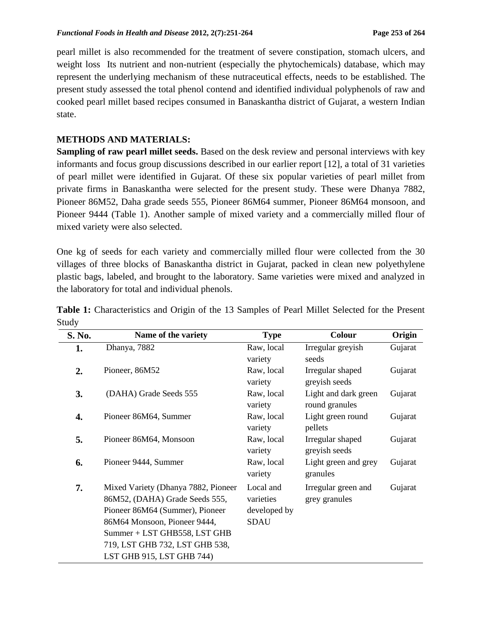pearl millet is also recommended for the treatment of severe constipation, stomach ulcers, and weight loss Its nutrient and non-nutrient (especially the phytochemicals) database, which may represent the underlying mechanism of these nutraceutical effects, needs to be established. The present study assessed the total phenol contend and identified individual polyphenols of raw and cooked pearl millet based recipes consumed in Banaskantha district of Gujarat, a western Indian state.

# **METHODS AND MATERIALS:**

**Sampling of raw pearl millet seeds.** Based on the desk review and personal interviews with key informants and focus group discussions described in our earlier report [12]*,* a total of 31 varieties of pearl millet were identified in Gujarat. Of these six popular varieties of pearl millet from private firms in Banaskantha were selected for the present study. These were Dhanya 7882, Pioneer 86M52, Daha grade seeds 555, Pioneer 86M64 summer, Pioneer 86M64 monsoon, and Pioneer 9444 (Table 1). Another sample of mixed variety and a commercially milled flour of mixed variety were also selected.

One kg of seeds for each variety and commercially milled flour were collected from the 30 villages of three blocks of Banaskantha district in Gujarat, packed in clean new polyethylene plastic bags, labeled, and brought to the laboratory. Same varieties were mixed and analyzed in the laboratory for total and individual phenols.

| S. No. | Name of the variety                 | <b>Type</b>  | Colour               | Origin  |
|--------|-------------------------------------|--------------|----------------------|---------|
| 1.     | Dhanya, 7882                        | Raw, local   | Irregular greyish    | Gujarat |
|        |                                     | variety      | seeds                |         |
| 2.     | Pioneer, 86M52                      | Raw, local   | Irregular shaped     | Gujarat |
|        |                                     | variety      | greyish seeds        |         |
| 3.     | (DAHA) Grade Seeds 555              | Raw, local   | Light and dark green | Gujarat |
|        |                                     | variety      | round granules       |         |
| 4.     | Pioneer 86M64, Summer               | Raw, local   | Light green round    | Gujarat |
|        |                                     | variety      | pellets              |         |
| 5.     | Pioneer 86M64, Monsoon              | Raw, local   | Irregular shaped     | Gujarat |
|        |                                     | variety      | greyish seeds        |         |
| 6.     | Pioneer 9444, Summer                | Raw, local   | Light green and grey | Gujarat |
|        |                                     | variety      | granules             |         |
| 7.     | Mixed Variety (Dhanya 7882, Pioneer | Local and    | Irregular green and  | Gujarat |
|        | 86M52, (DAHA) Grade Seeds 555,      | varieties    | grey granules        |         |
|        | Pioneer 86M64 (Summer), Pioneer     | developed by |                      |         |
|        | 86M64 Monsoon, Pioneer 9444,        | <b>SDAU</b>  |                      |         |
|        | Summer + LST GHB558, LST GHB        |              |                      |         |
|        | 719, LST GHB 732, LST GHB 538,      |              |                      |         |
|        | LST GHB 915, LST GHB 744)           |              |                      |         |

**Table 1:** Characteristics and Origin of the 13 Samples of Pearl Millet Selected for the Present Study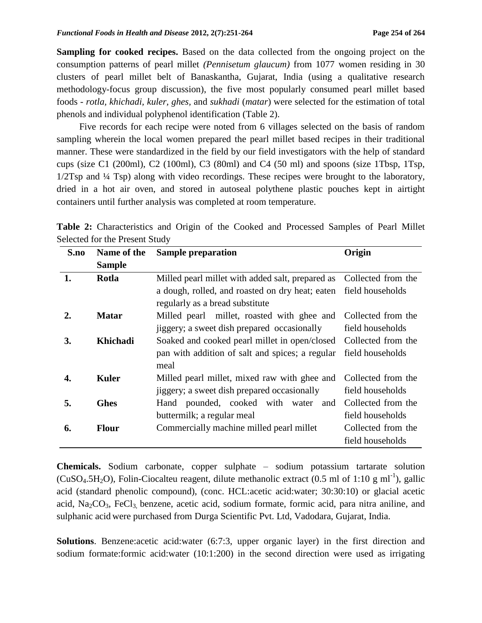**Sampling for cooked recipes.** Based on the data collected from the ongoing project on the consumption patterns of pearl millet *(Pennisetum glaucum)* from 1077 women residing in 30 clusters of pearl millet belt of Banaskantha, Gujarat, India (using a qualitative research methodology-focus group discussion), the five most popularly consumed pearl millet based foods - *rotla, khichadi, kuler, ghes,* and *sukhadi* (*matar*) were selected for the estimation of total phenols and individual polyphenol identification (Table 2).

Five records for each recipe were noted from 6 villages selected on the basis of random sampling wherein the local women prepared the pearl millet based recipes in their traditional manner. These were standardized in the field by our field investigators with the help of standard cups (size C1 (200ml), C2 (100ml), C3 (80ml) and C4 (50 ml) and spoons (size 1Tbsp, 1Tsp, 1/2Tsp and ¼ Tsp) along with video recordings. These recipes were brought to the laboratory, dried in a hot air oven, and stored in autoseal polythene plastic pouches kept in airtight containers until further analysis was completed at room temperature.

|  | Table 2: Characteristics and Origin of the Cooked and Processed Samples of Pearl Millet |  |  |  |  |  |  |
|--|-----------------------------------------------------------------------------------------|--|--|--|--|--|--|
|  | Selected for the Present Study                                                          |  |  |  |  |  |  |

| S.no             | Name of the     | <b>Sample preparation</b>                                        | Origin             |
|------------------|-----------------|------------------------------------------------------------------|--------------------|
|                  | <b>Sample</b>   |                                                                  |                    |
| 1.               | Rotla           | Milled pearl millet with added salt, prepared as                 | Collected from the |
|                  |                 | a dough, rolled, and roasted on dry heat; eaten field households |                    |
|                  |                 | regularly as a bread substitute                                  |                    |
| $\overline{2}$ . | <b>Matar</b>    | Milled pearl millet, roasted with ghee and                       | Collected from the |
|                  |                 | jiggery; a sweet dish prepared occasionally                      | field households   |
| 3.               | <b>Khichadi</b> | Soaked and cooked pearl millet in open/closed                    | Collected from the |
|                  |                 | pan with addition of salt and spices; a regular                  | field households   |
|                  |                 | meal                                                             |                    |
| 4.               | <b>Kuler</b>    | Milled pearl millet, mixed raw with ghee and                     | Collected from the |
|                  |                 | jiggery; a sweet dish prepared occasionally                      | field households   |
| 5.               | <b>Ghes</b>     | Hand pounded, cooked with water<br>and                           | Collected from the |
|                  |                 | buttermilk; a regular meal                                       | field households   |
| 6.               | <b>Flour</b>    | Commercially machine milled pearl millet                         | Collected from the |
|                  |                 |                                                                  | field households   |

**Chemicals.** Sodium carbonate, copper sulphate – sodium potassium tartarate solution (CuSO<sub>4</sub>.5H<sub>2</sub>O), Folin-Ciocalteu reagent, dilute methanolic extract (0.5 ml of 1:10 g ml<sup>-1</sup>), gallic acid (standard phenolic compound), (conc. HCL:acetic acid:water; 30:30:10) or glacial acetic acid, Na<sub>2</sub>CO<sub>3</sub>, FeCl<sub>3</sub> benzene, acetic acid, sodium formate, formic acid, para nitra aniline, and sulphanic acid were purchased from Durga Scientific Pvt. Ltd, Vadodara, Gujarat, India.

**Solutions**. Benzene:acetic acid:water (6:7:3, upper organic layer) in the first direction and sodium formate:formic acid:water (10:1:200) in the second direction were used as irrigating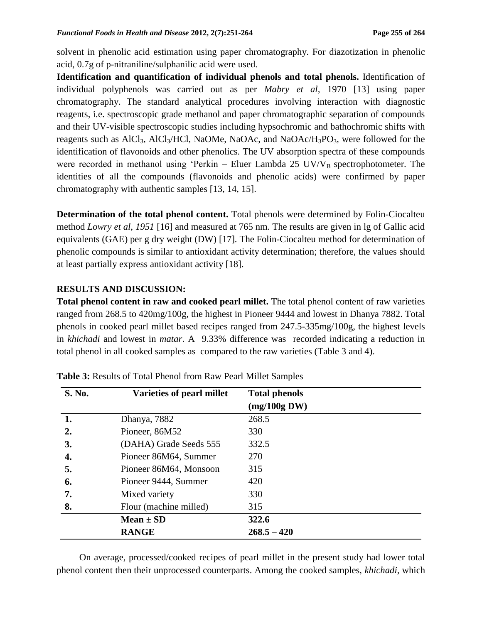solvent in phenolic acid estimation using paper chromatography. For diazotization in phenolic acid, 0.7g of p-nitraniline/sulphanilic acid were used.

**Identification and quantification of individual phenols and total phenols.** Identification of individual polyphenols was carried out as per *Mabry et al,* 1970 [13] using paper chromatography. The standard analytical procedures involving interaction with diagnostic reagents, i.e. spectroscopic grade methanol and paper chromatographic separation of compounds and their UV-visible spectroscopic studies including hypsochromic and bathochromic shifts with reagents such as  $AICI_3$ ,  $AICI_3/HCI$ , NaOMe, NaOAc, and NaOAc/ $H_3PO_3$ , were followed for the identification of flavonoids and other phenolics. The UV absorption spectra of these compounds were recorded in methanol using 'Perkin – Eluer Lambda 25  $UV/V_B$  spectrophotometer. The identities of all the compounds (flavonoids and phenolic acids) were confirmed by paper chromatography with authentic samples [13, 14, 15].

**Determination of the total phenol content.** Total phenols were determined by Folin-Ciocalteu method *Lowry et al, 1951* [16] and measured at 765 nm. The results are given in lg of Gallic acid equivalents (GAE) per g dry weight (DW) [17]*.* The Folin-Ciocalteu method for determination of phenolic compounds is similar to antioxidant activity determination; therefore, the values should at least partially express antioxidant activity [18].

### **RESULTS AND DISCUSSION:**

**Total phenol content in raw and cooked pearl millet.** The total phenol content of raw varieties ranged from 268.5 to 420mg/100g, the highest in Pioneer 9444 and lowest in Dhanya 7882. Total phenols in cooked pearl millet based recipes ranged from 247.5-335mg/100g, the highest levels in *khichadi* and lowest in *matar*. A 9.33% difference was recorded indicating a reduction in total phenol in all cooked samples as compared to the raw varieties (Table 3 and 4).

| <b>S. No.</b> | Varieties of pearl millet | <b>Total phenols</b>  |
|---------------|---------------------------|-----------------------|
|               |                           | $(mg/100g\text{ DW})$ |
| 1.            | Dhanya, 7882              | 268.5                 |
| 2.            | Pioneer, 86M52            | 330                   |
| 3.            | (DAHA) Grade Seeds 555    | 332.5                 |
| 4.            | Pioneer 86M64, Summer     | 270                   |
| 5.            | Pioneer 86M64, Monsoon    | 315                   |
| 6.            | Pioneer 9444, Summer      | 420                   |
| 7.            | Mixed variety             | 330                   |
| 8.            | Flour (machine milled)    | 315                   |
|               | Mean $\pm$ SD             | 322.6                 |
|               | <b>RANGE</b>              | $268.5 - 420$         |

| Table 3: Results of Total Phenol from Raw Pearl Millet Samples |  |  |
|----------------------------------------------------------------|--|--|
|----------------------------------------------------------------|--|--|

On average, processed/cooked recipes of pearl millet in the present study had lower total phenol content then their unprocessed counterparts. Among the cooked samples, *khichadi*, which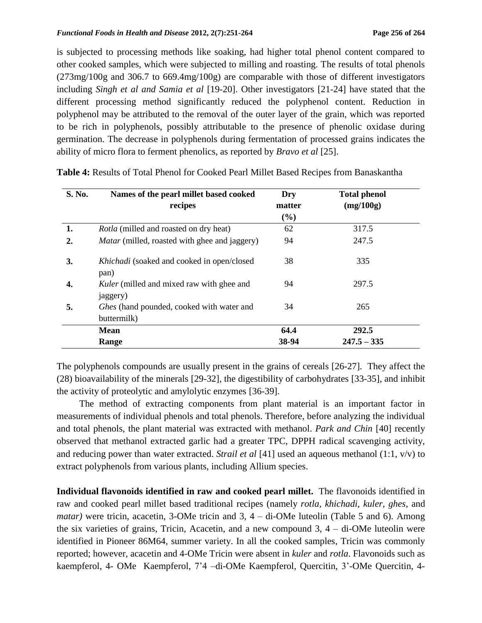is subjected to processing methods like soaking, had higher total phenol content compared to other cooked samples, which were subjected to milling and roasting. The results of total phenols (273mg/100g and 306.7 to 669.4mg/100g) are comparable with those of different investigators including *Singh et al and Samia et al* [19-20]. Other investigators [21-24] have stated that the different processing method significantly reduced the polyphenol content. Reduction in polyphenol may be attributed to the removal of the outer layer of the grain, which was reported to be rich in polyphenols, possibly attributable to the presence of phenolic oxidase during germination. The decrease in polyphenols during fermentation of processed grains indicates the ability of micro flora to ferment phenolics, as reported by *Bravo et al* [25].

| <b>S. No.</b>    | Names of the pearl millet based cooked<br>recipes            | Dry<br>matter<br>$(\%)$ | <b>Total phenol</b><br>(mg/100g) |
|------------------|--------------------------------------------------------------|-------------------------|----------------------------------|
| 1.               | <i>Rotla</i> (milled and roasted on dry heat)                | 62                      | 317.5                            |
| $\overline{2}$ . | <i>Matar</i> (milled, roasted with ghee and jaggery)         | 94                      | 247.5                            |
| 3.               | Khichadi (soaked and cooked in open/closed<br>pan)           | 38                      | 335                              |
| 4.               | <i>Kuler</i> (milled and mixed raw with ghee and<br>jaggery) | 94                      | 297.5                            |
| 5.               | Ghes (hand pounded, cooked with water and<br>buttermilk)     | 34                      | 265                              |
|                  | <b>Mean</b>                                                  | 64.4                    | 292.5                            |
|                  | Range                                                        | 38-94                   | $247.5 - 335$                    |

**Table 4:** Results of Total Phenol for Cooked Pearl Millet Based Recipes from Banaskantha

The polyphenols compounds are usually present in the grains of cereals [26-27]*.* They affect the (28) bioavailability of the minerals [29-32], the digestibility of carbohydrates [33-35], and inhibit the activity of proteolytic and amylolytic enzymes [36-39].

The method of extracting components from plant material is an important factor in measurements of individual phenols and total phenols. Therefore, before analyzing the individual and total phenols, the plant material was extracted with methanol. *Park and Chin* [40] recently observed that methanol extracted garlic had a greater TPC, DPPH radical scavenging activity, and reducing power than water extracted. *Strail et al* [41] used an aqueous methanol (1:1, v/v) to extract polyphenols from various plants, including Allium species.

**Individual flavonoids identified in raw and cooked pearl millet.** The flavonoids identified in raw and cooked pearl millet based traditional recipes (namely *rotla, khichadi, kuler, ghes,* and *matar*) were tricin, acacetin, 3-OMe tricin and 3, 4 – di-OMe luteolin (Table 5 and 6). Among the six varieties of grains, Tricin, Acacetin, and a new compound 3, 4 – di-OMe luteolin were identified in Pioneer 86M64, summer variety. In all the cooked samples, Tricin was commonly reported; however, acacetin and 4-OMe Tricin were absent in *kuler* and *rotla*. Flavonoids such as kaempferol, 4- OMe Kaempferol, 7'4 –di-OMe Kaempferol, Quercitin, 3'-OMe Quercitin, 4-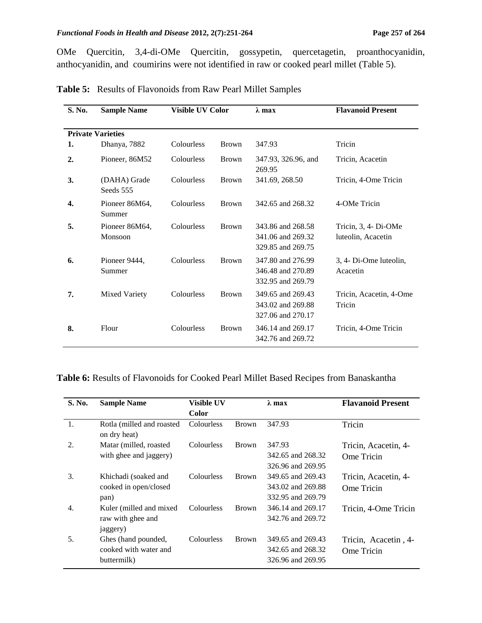#### *Functional Foods in Health and Disease* 2012, 2(7):251-264 Page 257 of 264

OMe Quercitin, 3,4-di-OMe Quercitin, gossypetin, quercetagetin, proanthocyanidin, anthocyanidin, and coumirins were not identified in raw or cooked pearl millet (Table 5).

| S. No. | <b>Sample Name</b>        | Visible UV Color |              | $\lambda$ max                                               | <b>Flavanoid Present</b>                   |
|--------|---------------------------|------------------|--------------|-------------------------------------------------------------|--------------------------------------------|
|        |                           |                  |              |                                                             |                                            |
|        | <b>Private Varieties</b>  |                  |              |                                                             |                                            |
| 1.     | Dhanya, 7882              | Colourless       | <b>Brown</b> | 347.93                                                      | Tricin                                     |
| 2.     | Pioneer, 86M52            | Colourless       | <b>Brown</b> | 347.93, 326.96, and<br>269.95                               | Tricin, Acacetin                           |
| 3.     | (DAHA) Grade<br>Seeds 555 | Colourless       | <b>Brown</b> | 341.69, 268.50                                              | Tricin, 4-Ome Tricin                       |
| 4.     | Pioneer 86M64,<br>Summer  | Colourless       | <b>Brown</b> | 342.65 and 268.32                                           | 4-OMe Tricin                               |
| 5.     | Pioneer 86M64,<br>Monsoon | Colourless       | <b>Brown</b> | 343.86 and 268.58<br>341.06 and 269.32<br>329.85 and 269.75 | Tricin, 3, 4- Di-OMe<br>luteolin, Acacetin |
| 6.     | Pioneer 9444,<br>Summer   | Colourless       | <b>Brown</b> | 347.80 and 276.99<br>346.48 and 270.89<br>332.95 and 269.79 | 3, 4- Di-Ome luteolin,<br>Acacetin         |
| 7.     | <b>Mixed Variety</b>      | Colourless       | <b>Brown</b> | 349.65 and 269.43<br>343.02 and 269.88<br>327.06 and 270.17 | Tricin, Acacetin, 4-Ome<br>Tricin          |
| 8.     | Flour                     | Colourless       | <b>Brown</b> | 346.14 and 269.17<br>342.76 and 269.72                      | Tricin, 4-Ome Tricin                       |

**Table 5:** Results of Flavonoids from Raw Pearl Millet Samples

**Table 6:** Results of Flavonoids for Cooked Pearl Millet Based Recipes from Banaskantha

| S. No.           | <b>Sample Name</b>                        | <b>Visible UV</b> |              | $\lambda$ max     | <b>Flavanoid Present</b> |
|------------------|-------------------------------------------|-------------------|--------------|-------------------|--------------------------|
|                  |                                           | Color             |              |                   |                          |
| 1.               | Rotla (milled and roasted<br>on dry heat) | Colourless        | <b>Brown</b> | 347.93            | Tricin                   |
| 2.               | Matar (milled, roasted                    | Colourless        | <b>Brown</b> | 347.93            | Tricin, Acacetin, 4-     |
|                  | with ghee and jaggery)                    |                   |              | 342.65 and 268.32 | Ome Tricin               |
|                  |                                           |                   |              | 326.96 and 269.95 |                          |
| 3.               | Khichadi (soaked and                      | Colourless        | <b>Brown</b> | 349.65 and 269.43 | Tricin, Acacetin, 4-     |
|                  | cooked in open/closed                     |                   |              | 343.02 and 269.88 | Ome Tricin               |
|                  | pan)                                      |                   |              | 332.95 and 269.79 |                          |
| $\overline{4}$ . | Kuler (milled and mixed)                  | Colourless        | <b>Brown</b> | 346.14 and 269.17 | Tricin, 4-Ome Tricin     |
|                  | raw with ghee and                         |                   |              | 342.76 and 269.72 |                          |
|                  | jaggery)                                  |                   |              |                   |                          |
| 5.               | Ghes (hand pounded,                       | <b>Colourless</b> | <b>Brown</b> | 349.65 and 269.43 | Tricin, Acacetin, 4-     |
|                  | cooked with water and                     |                   |              | 342.65 and 268.32 | Ome Tricin               |
|                  | buttermilk)                               |                   |              | 326.96 and 269.95 |                          |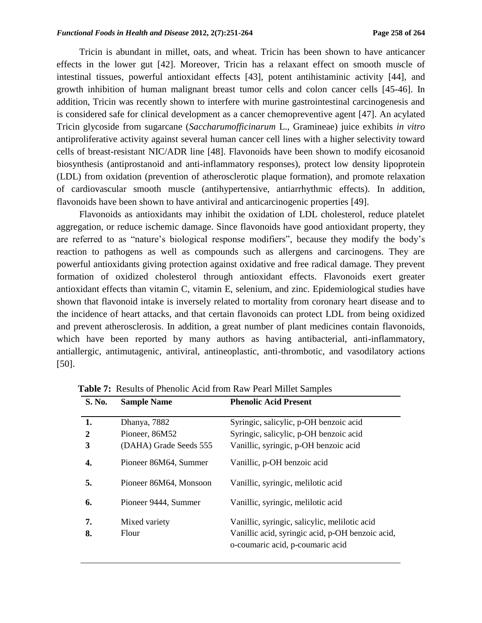Tricin is abundant in millet, oats, and wheat. Tricin has been shown to have anticancer effects in the lower gut [42]. Moreover, Tricin has a relaxant effect on smooth muscle of intestinal tissues, powerful antioxidant effects [43], potent antihistaminic activity [44]*,* and growth inhibition of human malignant breast tumor cells and colon cancer cells [45-46]. In addition, Tricin was recently shown to interfere with murine gastrointestinal carcinogenesis and is considered safe for clinical development as a cancer chemopreventive agent [47]. An acylated Tricin glycoside from sugarcane (*Saccharumofficinarum* L., Gramineae) juice exhibits *in vitro*  antiproliferative activity against several human cancer cell lines with a higher selectivity toward cells of breast-resistant NIC/ADR line [48]. Flavonoids have been shown to modify eicosanoid biosynthesis (antiprostanoid and anti-inflammatory responses), protect low density lipoprotein (LDL) from oxidation (prevention of atherosclerotic plaque formation), and promote relaxation of cardiovascular smooth muscle (antihypertensive, antiarrhythmic effects). In addition, flavonoids have been shown to have antiviral and anticarcinogenic properties [49].

Flavonoids as antioxidants may inhibit the oxidation of LDL cholesterol, reduce platelet aggregation, or reduce ischemic damage. Since flavonoids have good antioxidant property, they are referred to as "nature's biological response modifiers", because they modify the body's reaction to pathogens as well as compounds such as allergens and carcinogens. They are powerful antioxidants giving protection against oxidative and free radical damage. They prevent formation of oxidized cholesterol through antioxidant effects. Flavonoids exert greater antioxidant effects than vitamin C, vitamin E, selenium, and zinc. Epidemiological studies have shown that flavonoid intake is inversely related to mortality from coronary heart disease and to the incidence of heart attacks, and that certain flavonoids can protect LDL from being oxidized and prevent atherosclerosis. In addition, a great number of plant medicines contain flavonoids, which have been reported by many authors as having antibacterial, anti-inflammatory, antiallergic, antimutagenic, antiviral, antineoplastic, anti-thrombotic, and vasodilatory actions [50].

| <b>S. No.</b> | <b>Sample Name</b>     | <b>Phenolic Acid Present</b>                                                         |
|---------------|------------------------|--------------------------------------------------------------------------------------|
| 1.            | Dhanya, 7882           | Syringic, salicylic, p-OH benzoic acid                                               |
| $\mathbf{2}$  | Pioneer, 86M52         | Syringic, salicylic, p-OH benzoic acid                                               |
| 3             | (DAHA) Grade Seeds 555 | Vanillic, syringic, p-OH benzoic acid                                                |
| 4.            | Pioneer 86M64, Summer  | Vanillic, p-OH benzoic acid                                                          |
| 5.            | Pioneer 86M64, Monsoon | Vanillic, syringic, melilotic acid                                                   |
| 6.            | Pioneer 9444, Summer   | Vanillic, syringic, melilotic acid                                                   |
| 7.            | Mixed variety          | Vanillic, syringic, salicylic, melilotic acid                                        |
| 8.            | Flour                  | Vanillic acid, syringic acid, p-OH benzoic acid,<br>o-coumaric acid, p-coumaric acid |

 **Table 7:** Results of Phenolic Acid from Raw Pearl Millet Samples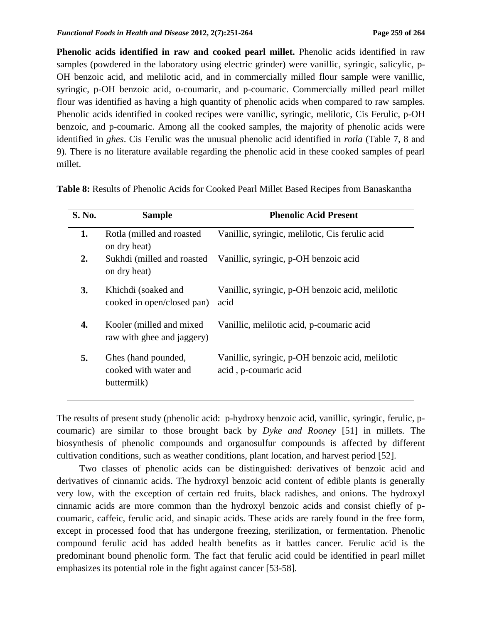**Phenolic acids identified in raw and cooked pearl millet.** Phenolic acids identified in raw samples (powdered in the laboratory using electric grinder) were vanillic, syringic, salicylic, p-OH benzoic acid, and melilotic acid, and in commercially milled flour sample were vanillic, syringic, p-OH benzoic acid, o-coumaric, and p-coumaric. Commercially milled pearl millet flour was identified as having a high quantity of phenolic acids when compared to raw samples. Phenolic acids identified in cooked recipes were vanillic, syringic, melilotic, Cis Ferulic, p-OH benzoic, and p-coumaric. Among all the cooked samples, the majority of phenolic acids were identified in *ghes*. Cis Ferulic was the unusual phenolic acid identified in *rotla* (Table 7, 8 and 9)*.* There is no literature available regarding the phenolic acid in these cooked samples of pearl millet.

| <b>S. No.</b> | <b>Sample</b>                                               | <b>Phenolic Acid Present</b>                                              |
|---------------|-------------------------------------------------------------|---------------------------------------------------------------------------|
| 1.            | Rotla (milled and roasted<br>on dry heat)                   | Vanillic, syringic, melilotic, Cis ferulic acid                           |
| 2.            | Sukhdi (milled and roasted<br>on dry heat)                  | Vanillic, syringic, p-OH benzoic acid                                     |
| 3.            | Khichdi (soaked and<br>cooked in open/closed pan)           | Vanillic, syringic, p-OH benzoic acid, melilotic<br>acid                  |
| 4.            | Kooler (milled and mixed)<br>raw with ghee and jaggery)     | Vanillic, melilotic acid, p-coumaric acid                                 |
| 5.            | Ghes (hand pounded,<br>cooked with water and<br>buttermilk) | Vanillic, syringic, p-OH benzoic acid, melilotic<br>acid, p-coumaric acid |

**Table 8:** Results of Phenolic Acids for Cooked Pearl Millet Based Recipes from Banaskantha

The results of present study (phenolic acid: p-hydroxy benzoic acid, vanillic, syringic, ferulic, pcoumaric) are similar to those brought back by *Dyke and Rooney* [51] in millets*.* The biosynthesis of phenolic compounds and organosulfur compounds is affected by different cultivation conditions, such as weather conditions, plant location, and harvest period [52].

Two classes of phenolic acids can be distinguished: derivatives of benzoic acid and derivatives of cinnamic acids. The hydroxyl benzoic acid content of edible plants is generally very low, with the exception of certain red fruits, black radishes, and onions. The hydroxyl cinnamic acids are more common than the hydroxyl benzoic acids and consist chiefly of pcoumaric, caffeic, ferulic acid, and sinapic acids. These acids are rarely found in the free form, except in processed food that has undergone freezing, sterilization, or fermentation. Phenolic compound ferulic acid has added health benefits as it battles cancer. Ferulic acid is the predominant bound phenolic form. The fact that ferulic acid could be identified in pearl millet emphasizes its potential role in the fight against cancer [53-58].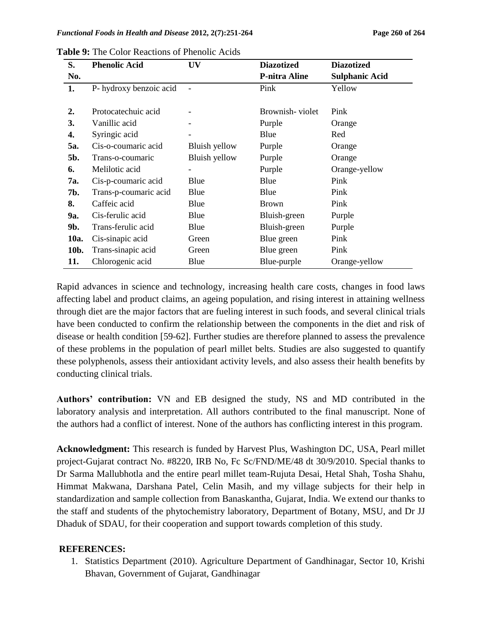| S.   | <b>Phenolic Acid</b>    | UV            | <b>Diazotized</b>    | <b>Diazotized</b>     |
|------|-------------------------|---------------|----------------------|-----------------------|
| No.  |                         |               | <b>P-nitra Aline</b> | <b>Sulphanic Acid</b> |
| 1.   | P- hydroxy benzoic acid |               | Pink                 | Yellow                |
|      |                         |               |                      |                       |
| 2.   | Protocatechuic acid     |               | Brownish-violet      | Pink                  |
| 3.   | Vanillic acid           |               | Purple               | Orange                |
| 4.   | Syringic acid           |               | Blue                 | Red                   |
| 5a.  | Cis-o-coumaric acid     | Bluish yellow | Purple               | Orange                |
| 5b.  | Trans-o-coumaric        | Bluish yellow | Purple               | Orange                |
| 6.   | Melilotic acid          |               | Purple               | Orange-yellow         |
| 7a.  | Cis-p-coumaric acid     | Blue          | Blue                 | Pink                  |
| 7b.  | Trans-p-coumaric acid   | Blue          | Blue                 | Pink                  |
| 8.   | Caffeic acid            | Blue          | <b>Brown</b>         | Pink                  |
| 9a.  | Cis-ferulic acid        | Blue          | Bluish-green         | Purple                |
| 9b.  | Trans-ferulic acid      | Blue          | Bluish-green         | Purple                |
| 10a. | Cis-sinapic acid        | Green         | Blue green           | Pink                  |
| 10b. | Trans-sinapic acid      | Green         | Blue green           | Pink                  |
| 11.  | Chlorogenic acid        | Blue          | Blue-purple          | Orange-yellow         |

**Table 9:** The Color Reactions of Phenolic Acids

Rapid advances in science and technology, increasing health care costs, changes in food laws affecting label and product claims, an ageing population, and rising interest in attaining wellness through diet are the major factors that are fueling interest in such foods, and several clinical trials have been conducted to confirm the relationship between the components in the diet and risk of disease or health condition [59-62]. Further studies are therefore planned to assess the prevalence of these problems in the population of pearl millet belts. Studies are also suggested to quantify these polyphenols, assess their antioxidant activity levels, and also assess their health benefits by conducting clinical trials.

**Authors' contribution:** VN and EB designed the study, NS and MD contributed in the laboratory analysis and interpretation. All authors contributed to the final manuscript. None of the authors had a conflict of interest. None of the authors has conflicting interest in this program.

**Acknowledgment:** This research is funded by Harvest Plus, Washington DC, USA, Pearl millet project-Gujarat contract No. #8220, IRB No, Fc Sc/FND/ME/48 dt 30/9/2010. Special thanks to Dr Sarma Mallubhotla and the entire pearl millet team-Rujuta Desai, Hetal Shah, Tosha Shahu, Himmat Makwana, Darshana Patel, Celin Masih, and my village subjects for their help in standardization and sample collection from Banaskantha, Gujarat, India. We extend our thanks to the staff and students of the phytochemistry laboratory, Department of Botany, MSU, and Dr JJ Dhaduk of SDAU, for their cooperation and support towards completion of this study.

### **REFERENCES:**

1. Statistics Department (2010). Agriculture Department of Gandhinagar, Sector 10, Krishi Bhavan, Government of Gujarat, Gandhinagar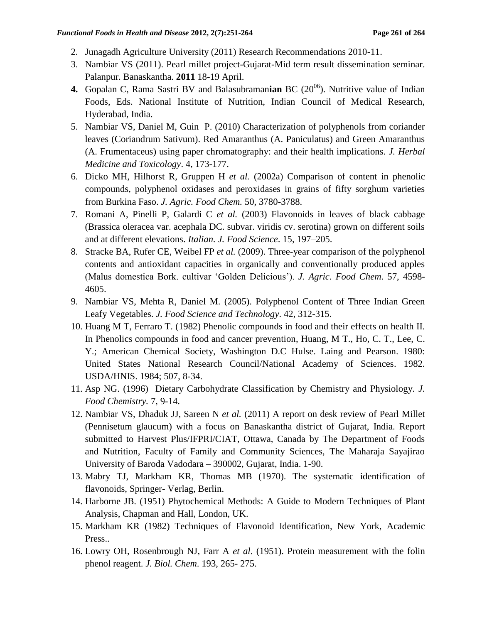- 2. Junagadh Agriculture University (2011) Research Recommendations 2010-11.
- 3. Nambiar VS (2011). Pearl millet project-Gujarat-Mid term result dissemination seminar. Palanpur. Banaskantha. **2011** 18-19 April.
- **4.** Gopalan C, Rama Sastri BV and Balasubramanian BC (20<sup>06</sup>). Nutritive value of Indian Foods, Eds. National Institute of Nutrition, Indian Council of Medical Research, Hyderabad, India.
- 5. Nambiar VS, Daniel M, Guin P. (2010) Characterization of polyphenols from coriander leaves (Coriandrum Sativum). Red Amaranthus (A. Paniculatus) and Green Amaranthus (A. Frumentaceus) using paper chromatography: and their health implications. *J. Herbal Medicine and Toxicology*. 4, 173-177.
- 6. Dicko MH, Hilhorst R, Gruppen H *et al.* (2002a) Comparison of content in phenolic compounds, polyphenol oxidases and peroxidases in grains of fifty sorghum varieties from Burkina Faso. *J. Agric. Food Chem.* 50, 3780-3788.
- 7. Romani A, Pinelli P, Galardi C *et al.* (2003) Flavonoids in leaves of black cabbage (Brassica oleracea var. acephala DC. subvar. viridis cv. serotina) grown on different soils and at different elevations. *Italian. J. Food Science*. 15, 197–205.
- 8. Stracke BA, Rufer CE, Weibel FP *et al.* (2009). Three-year comparison of the polyphenol contents and antioxidant capacities in organically and conventionally produced apples (Malus domestica Bork. cultivar ‗Golden Delicious'). *J. Agric. Food Chem*. 57, 4598- 4605.
- 9. Nambiar VS, Mehta R, Daniel M. (2005). Polyphenol Content of Three Indian Green Leafy Vegetables. *J. Food Science and Technology*. 42, 312-315.
- 10. Huang M T, Ferraro T. (1982) Phenolic compounds in food and their effects on health II. In Phenolics compounds in food and cancer prevention, Huang, M T., Ho, C. T., Lee, C. Y.; American Chemical Society, Washington D.C Hulse. Laing and Pearson. 1980: United States National Research Council/National Academy of Sciences. 1982. USDA/HNIS. 1984; 507, 8-34.
- 11. Asp NG. (1996) Dietary Carbohydrate Classification by Chemistry and Physiology. *J. Food Chemistry.* 7, 9-14.
- 12. Nambiar VS, Dhaduk JJ, Sareen N *et al.* (2011) A report on desk review of Pearl Millet (Pennisetum glaucum) with a focus on Banaskantha district of Gujarat, India. Report submitted to Harvest Plus/IFPRI/CIAT, Ottawa, Canada by The Department of Foods and Nutrition, Faculty of Family and Community Sciences, The Maharaja Sayajirao University of Baroda Vadodara – 390002, Gujarat, India. 1-90.
- 13. Mabry TJ, Markham KR, Thomas MB (1970). The systematic identification of flavonoids, Springer- Verlag, Berlin.
- 14. Harborne JB. (1951) Phytochemical Methods: A Guide to Modern Techniques of Plant Analysis, Chapman and Hall, London, UK.
- 15. Markham KR (1982) Techniques of Flavonoid Identification, New York, Academic Press..
- 16. Lowry OH, Rosenbrough NJ, Farr A *et al*. (1951). Protein measurement with the folin phenol reagent. *J. Biol. Chem*. 193, 265- 275.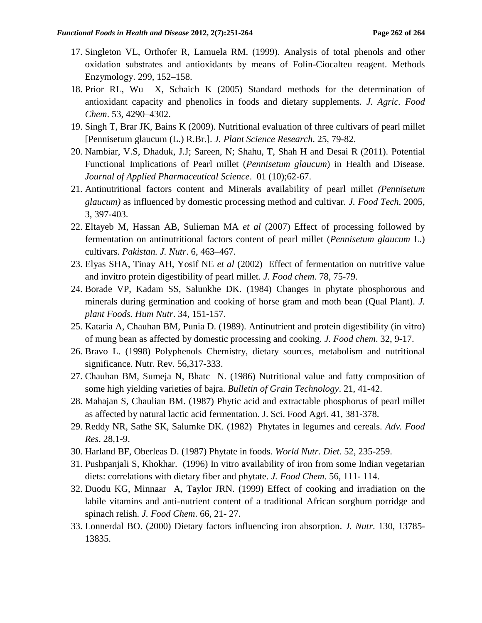- 17. Singleton VL, Orthofer R, Lamuela RM. (1999). Analysis of total phenols and other oxidation substrates and antioxidants by means of Folin-Ciocalteu reagent. Methods Enzymology. 299, 152–158.
- 18. Prior RL, Wu X, Schaich K (2005) Standard methods for the determination of antioxidant capacity and phenolics in foods and dietary supplements. *J. Agric. Food Chem*. 53, 4290–4302.
- 19. Singh T, Brar JK, Bains K (2009). Nutritional evaluation of three cultivars of pearl millet [Pennisetum glaucum (L.) R.Br.]. *J. Plant Science Research*. 25, 79-82.
- 20. Nambiar, V.S, Dhaduk, J.J; Sareen, N; Shahu, T, Shah H and Desai R (2011). Potential Functional Implications of Pearl millet (*Pennisetum glaucum*) in Health and Disease. *Journal of Applied Pharmaceutical Science*. 01 (10);62-67.
- 21. Antinutritional factors content and Minerals availability of pearl millet *(Pennisetum glaucum)* as influenced by domestic processing method and cultivar*. J. Food Tech*. 2005, 3, 397-403.
- 22. Eltayeb M, Hassan AB, Sulieman MA *et al* (2007) Effect of processing followed by fermentation on antinutritional factors content of pearl millet (*Pennisetum glaucum* L.) cultivars. *Pakistan. J. Nutr*. 6, 463–467.
- 23. Elyas SHA, Tinay AH, Yosif NE *et al* (2002) Effect of fermentation on nutritive value and invitro protein digestibility of pearl millet. *J. Food chem.* 78, 75-79.
- 24. Borade VP, Kadam SS, Salunkhe DK. (1984) Changes in phytate phosphorous and minerals during germination and cooking of horse gram and moth bean (Qual Plant). *J. plant Foods. Hum Nutr*. 34, 151-157.
- 25. Kataria A, Chauhan BM, Punia D. (1989). Antinutrient and protein digestibility (in vitro) of mung bean as affected by domestic processing and cooking. *J. Food chem*. 32, 9-17.
- 26. Bravo L. (1998) Polyphenols Chemistry, dietary sources, metabolism and nutritional significance. Nutr. Rev. 56,317-333.
- 27. Chauhan BM, Sumeja N, Bhatc N. (1986) Nutritional value and fatty composition of some high yielding varieties of bajra. *Bulletin of Grain Technology*. 21, 41-42.
- 28. Mahajan S, Chaulian BM. (1987) Phytic acid and extractable phosphorus of pearl millet as affected by natural lactic acid fermentation. J. Sci. Food Agri. 41, 381-378.
- 29. Reddy NR, Sathe SK, Salumke DK. (1982) Phytates in legumes and cereals. *Adv. Food Res*. 28,1-9.
- 30. Harland BF, Oberleas D. (1987) Phytate in foods. *World Nutr. Diet*. 52, 235-259.
- 31. Pushpanjali S, Khokhar. (1996) In vitro availability of iron from some Indian vegetarian diets: correlations with dietary fiber and phytate. *J. Food Chem*. 56, 111- 114.
- 32. Duodu KG, Minnaar A, Taylor JRN. (1999) Effect of cooking and irradiation on the labile vitamins and anti-nutrient content of a traditional African sorghum porridge and spinach relish*. J. Food Chem*. 66, 21- 27.
- 33. Lonnerdal BO. (2000) Dietary factors influencing iron absorption. *J. Nutr*. 130, 13785- 13835.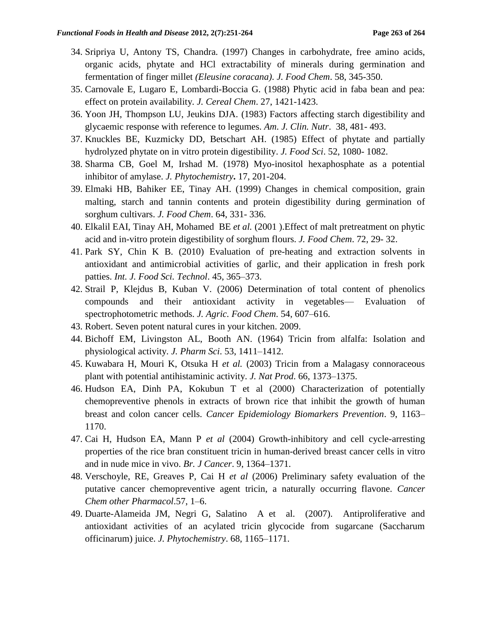- 34. Sripriya U, Antony TS, Chandra. (1997) Changes in carbohydrate, free amino acids, organic acids, phytate and HCl extractability of minerals during germination and fermentation of finger millet *(Eleusine coracana)*. *J. Food Chem*. 58, 345-350.
- 35. Carnovale E, Lugaro E, Lombardi-Boccia G. (1988) Phytic acid in faba bean and pea: effect on protein availability. *J. Cereal Chem*. 27, 1421-1423.
- 36. Yoon JH, Thompson LU, Jeukins DJA. (1983) Factors affecting starch digestibility and glycaemic response with reference to legumes. *Am. J. Clin. Nutr*. 38, 481- 493.
- 37. Knuckles BE, Kuzmicky DD, Betschart AH. (1985) Effect of phytate and partially hydrolyzed phytate on in vitro protein digestibility. *J. Food Sci*. 52, 1080- 1082.
- 38. Sharma CB, Goel M, Irshad M. (1978) Myo-inositol hexaphosphate as a potential inhibitor of amylase. *J. Phytochemistry***.** 17, 201-204.
- 39. Elmaki HB, Bahiker EE, Tinay AH. (1999) Changes in chemical composition, grain malting, starch and tannin contents and protein digestibility during germination of sorghum cultivars. *J. Food Chem*. 64, 331- 336.
- 40. Elkalil EAI, Tinay AH, Mohamed BE *et al.* (2001 ).Effect of malt pretreatment on phytic acid and in-vitro protein digestibility of sorghum flours. *J. Food Chem*. 72, 29- 32.
- 41. Park SY, Chin K B. (2010) Evaluation of pre-heating and extraction solvents in antioxidant and antimicrobial activities of garlic, and their application in fresh pork patties. *Int. J. Food Sci. Technol*. 45, 365–373.
- 42. Strail P, Klejdus B, Kuban V. (2006) Determination of total content of phenolics compounds and their antioxidant activity in vegetables— Evaluation of spectrophotometric methods. *J. Agric. Food Chem*. 54, 607–616.
- 43. Robert. Seven potent natural cures in your kitchen. 2009.
- 44. Bichoff EM, Livingston AL, Booth AN. (1964) Tricin from alfalfa: Isolation and physiological activity*. J. Pharm Sci*. 53, 1411–1412.
- 45. Kuwabara H, Mouri K, Otsuka H *et al.* (2003) Tricin from a Malagasy connoraceous plant with potential antihistaminic activity. *J. Nat Prod*. 66, 1373–1375.
- 46. Hudson EA, Dinh PA, Kokubun T et al (2000) Characterization of potentially chemopreventive phenols in extracts of brown rice that inhibit the growth of human breast and colon cancer cells. *Cancer Epidemiology Biomarkers Prevention*. 9, 1163– 1170.
- 47. Cai H, Hudson EA, Mann P *et al* (2004) Growth-inhibitory and cell cycle-arresting properties of the rice bran constituent tricin in human-derived breast cancer cells in vitro and in nude mice in vivo. *Br. J Cancer*. 9, 1364–1371.
- 48. Verschoyle, RE, Greaves P, Cai H *et al* (2006) Preliminary safety evaluation of the putative cancer chemopreventive agent tricin, a naturally occurring flavone. *Cancer Chem other Pharmacol*.57, 1–6.
- 49. Duarte-Alameida JM, Negri G, Salatino A et al. (2007). Antiproliferative and antioxidant activities of an acylated tricin glycocide from sugarcane (Saccharum officinarum) juice. *J. Phytochemistry*. 68, 1165–1171.